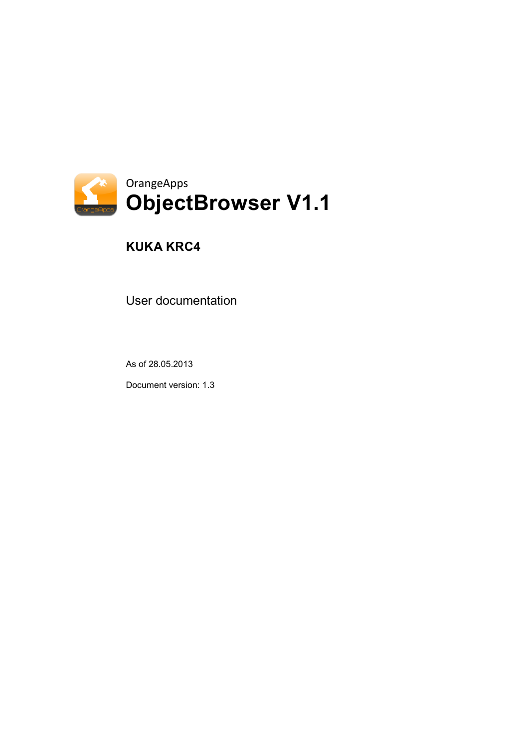

# **KUKA KRC4**

User documentation

As of 28.05.2013

Document version: 1.3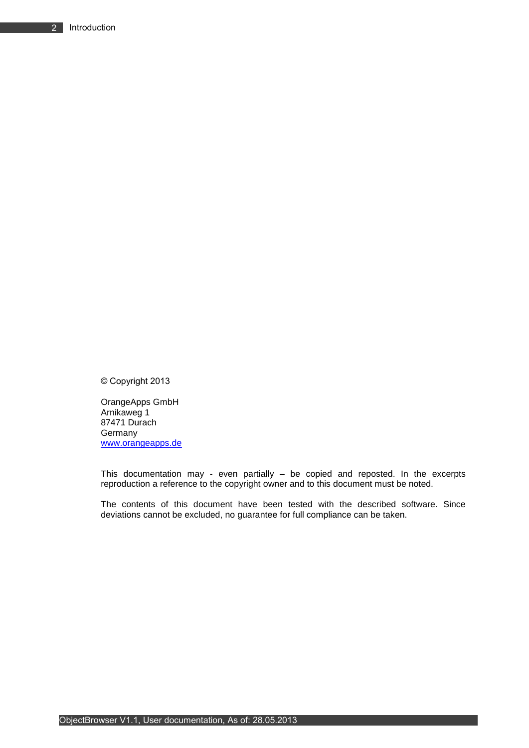© Copyright 2013

OrangeApps GmbH Arnikaweg 1 87471 Durach Germany [www.orangeapps.de](http://www.orangeapps.de/)

This documentation may - even partially – be copied and reposted. In the excerpts reproduction a reference to the copyright owner and to this document must be noted.

The contents of this document have been tested with the described software. Since deviations cannot be excluded, no guarantee for full compliance can be taken.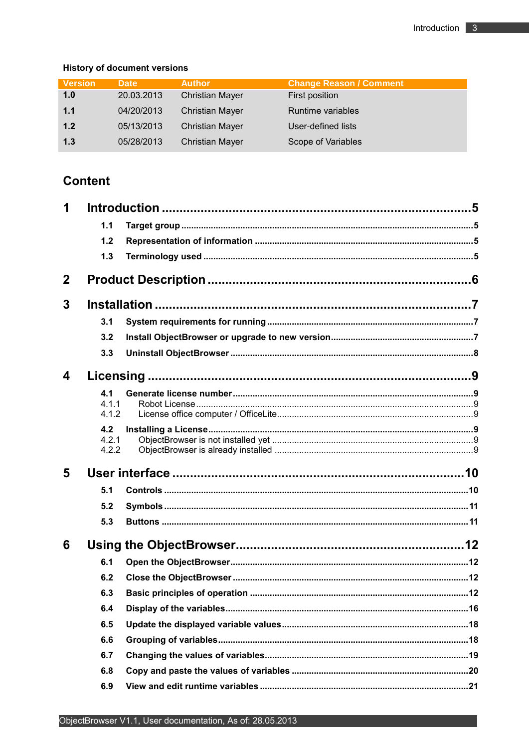### **History of document versions**

| <b>Version</b> | <b>Date</b> | <b>Author</b>          | <b>Change Reason / Comment</b> |
|----------------|-------------|------------------------|--------------------------------|
| 1.0            | 20.03.2013  | <b>Christian Mayer</b> | First position                 |
| 1.1            | 04/20/2013  | <b>Christian Mayer</b> | Runtime variables              |
| 1.2            | 05/13/2013  | <b>Christian Mayer</b> | User-defined lists             |
| 1.3            | 05/28/2013  | <b>Christian Mayer</b> | Scope of Variables             |

# **Content**

| 1            |                |  |
|--------------|----------------|--|
|              | 1.1            |  |
|              | 1.2            |  |
|              | 1.3            |  |
| $\mathbf{2}$ |                |  |
| 3            |                |  |
|              | 3.1            |  |
|              | 3.2            |  |
|              | 3.3            |  |
| 4            |                |  |
|              | 4.1            |  |
|              | 4.1.1<br>4.1.2 |  |
|              | 4.2            |  |
|              | 4.2.1          |  |
|              | 4.2.2          |  |
| 5            |                |  |
|              | 5.1            |  |
|              | 5.2            |  |
|              | 5.3            |  |
| 6            |                |  |
|              | 6.1            |  |
|              | 6.2            |  |
|              | 6.3            |  |
|              | 6.4            |  |
|              | 6.5            |  |
|              | 6.6            |  |
|              | 6.7            |  |
|              | 6.8            |  |
|              | 6.9            |  |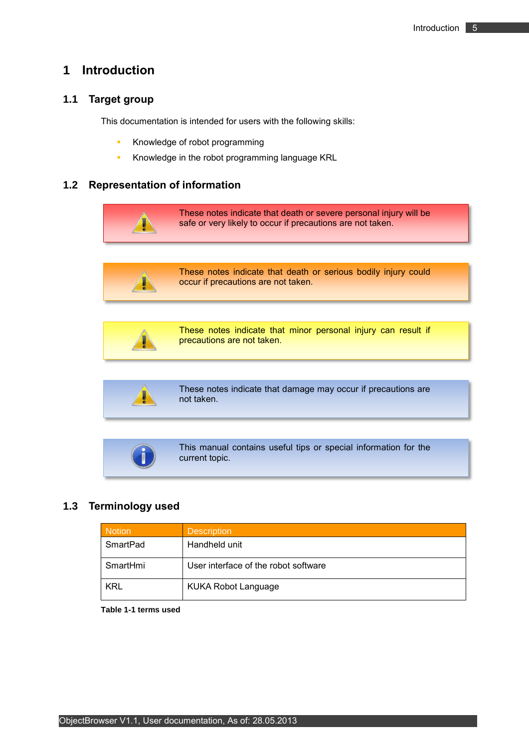# <span id="page-4-0"></span>**1 Introduction**

### <span id="page-4-1"></span>**1.1 Target group**

This documentation is intended for users with the following skills:

- **Knowledge of robot programming**
- **Knowledge in the robot programming language KRL**

### <span id="page-4-2"></span>**1.2 Representation of information**





These notes indicate that death or serious bodily injury could occur if precautions are not taken.



These notes indicate that minor personal injury can result if precautions are not taken.

These notes indicate that damage may occur if precautions are not taken.



This manual contains useful tips or special information for the current topic.

### <span id="page-4-3"></span>**1.3 Terminology used**

| <b>Notion</b> | <b>Description</b>                   |
|---------------|--------------------------------------|
| SmartPad      | Handheld unit                        |
| SmartHmi      | User interface of the robot software |
| <b>KRL</b>    | <b>KUKA Robot Language</b>           |

<span id="page-4-4"></span>**Table 1-1 terms used**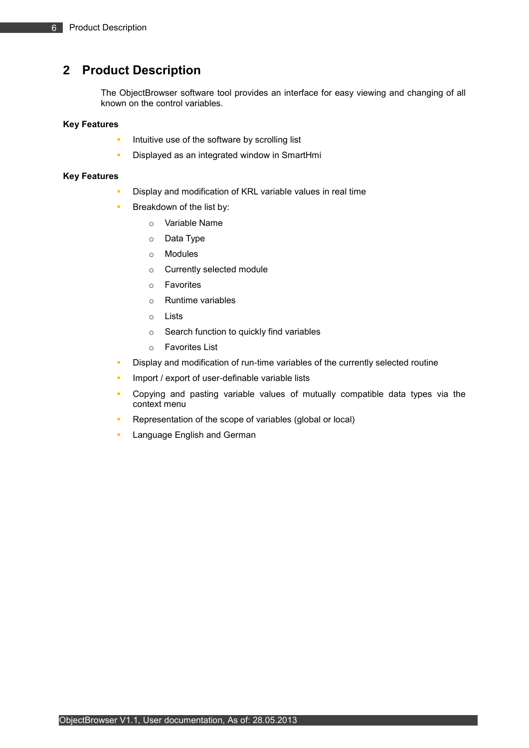# <span id="page-5-0"></span>**2 Product Description**

The ObjectBrowser software tool provides an interface for easy viewing and changing of all known on the control variables.

#### **Key Features**

- Intuitive use of the software by scrolling list
- **-** Displayed as an integrated window in SmartHmi

#### **Key Features**

- Display and modification of KRL variable values in real time
- Breakdown of the list by:
	- o Variable Name
	- o Data Type
	- o Modules
	- o Currently selected module
	- o Favorites
	- o Runtime variables
	- o Lists
	- o Search function to quickly find variables
	- o Favorites List
- Display and modification of run-time variables of the currently selected routine
- Import / export of user-definable variable lists
- Copying and pasting variable values of mutually compatible data types via the context menu
- Representation of the scope of variables (global or local)
- Language English and German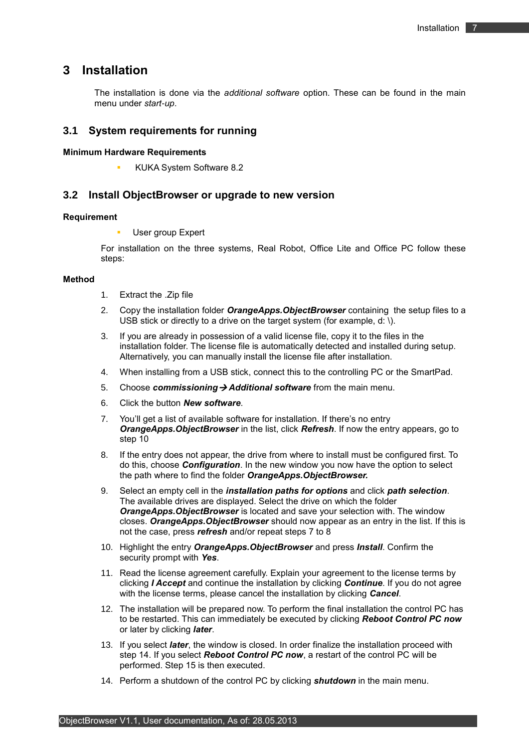### <span id="page-6-0"></span>**3 Installation**

The installation is done via the *additional software* option. These can be found in the main menu under *start-up*.

### <span id="page-6-1"></span>**3.1 System requirements for running**

**Minimum Hardware Requirements**

KUKA System Software 8.2

#### <span id="page-6-2"></span>**3.2 Install ObjectBrowser or upgrade to new version**

#### **Requirement**

User group Expert

For installation on the three systems, Real Robot, Office Lite and Office PC follow these steps:

#### **Method**

- 1. Extract the .Zip file
- 2. Copy the installation folder *OrangeApps.ObjectBrowser* containing the setup files to a USB stick or directly to a drive on the target system (for example, d: \).
- 3. If you are already in possession of a valid license file, copy it to the files in the installation folder. The license file is automatically detected and installed during setup. Alternatively, you can manually install the license file after installation.
- 4. When installing from a USB stick, connect this to the controlling PC or the SmartPad.
- 5. Choose *commissioning Additional software* from the main menu.
- 6. Click the button *New software*.
- 7. You'll get a list of available software for installation. If there's no entry *OrangeApps.ObjectBrowser* in the list, click *Refresh*. If now the entry appears, go to step 10
- 8. If the entry does not appear, the drive from where to install must be configured first. To do this, choose *Configuration*. In the new window you now have the option to select the path where to find the folder *OrangeApps.ObjectBrowser.*
- 9. Select an empty cell in the *installation paths for options* and click *path selection*. The available drives are displayed. Select the drive on which the folder *OrangeApps.ObjectBrowser* is located and save your selection with. The window closes. *OrangeApps.ObjectBrowser* should now appear as an entry in the list. If this is not the case, press *refresh* and/or repeat steps 7 to 8
- 10. Highlight the entry *OrangeApps.ObjectBrowser* and press *Install*. Confirm the security prompt with *Yes*.
- 11. Read the license agreement carefully. Explain your agreement to the license terms by clicking *I Accept* and continue the installation by clicking *Continue*. If you do not agree with the license terms, please cancel the installation by clicking *Cancel*.
- 12. The installation will be prepared now. To perform the final installation the control PC has to be restarted. This can immediately be executed by clicking *Reboot Control PC now* or later by clicking *later*.
- 13. If you select *later*, the window is closed. In order finalize the installation proceed with step 14. If you select *Reboot Control PC now*, a restart of the control PC will be performed. Step 15 is then executed.
- 14. Perform a shutdown of the control PC by clicking *shutdown* in the main menu.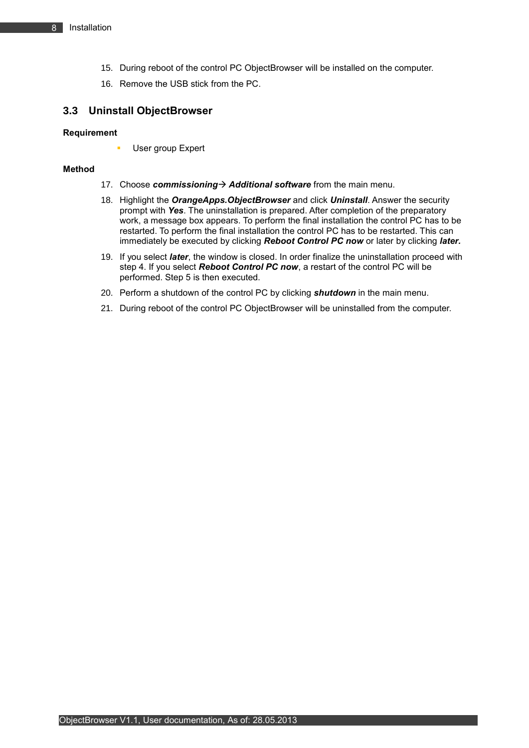- 15. During reboot of the control PC ObjectBrowser will be installed on the computer.
- 16. Remove the USB stick from the PC.

### <span id="page-7-0"></span>**3.3 Uninstall ObjectBrowser**

#### **Requirement**

User group Expert

#### **Method**

- 17. Choose *commissioning* > Additional software from the main menu.
- 18. Highlight the *OrangeApps.ObjectBrowser* and click *Uninstall*. Answer the security prompt with *Yes*. The uninstallation is prepared. After completion of the preparatory work, a message box appears. To perform the final installation the control PC has to be restarted. To perform the final installation the control PC has to be restarted. This can immediately be executed by clicking **Reboot Control PC now** or later by clicking *later.*
- 19. If you select *later*, the window is closed. In order finalize the uninstallation proceed with step 4. If you select *Reboot Control PC now*, a restart of the control PC will be performed. Step 5 is then executed.
- 20. Perform a shutdown of the control PC by clicking *shutdown* in the main menu.
- 21. During reboot of the control PC ObjectBrowser will be uninstalled from the computer.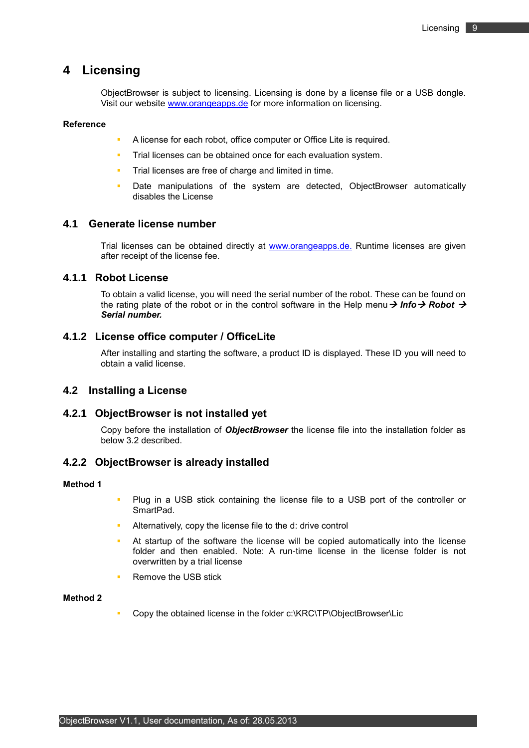## <span id="page-8-0"></span>**4 Licensing**

ObjectBrowser is subject to licensing. Licensing is done by a license file or a USB dongle. Visit our website [www.orangeapps.de](http://www.orangeapps.de/) for more information on licensing.

#### **Reference**

- A license for each robot, office computer or Office Lite is required.
- **Trial licenses can be obtained once for each evaluation system.**
- Trial licenses are free of charge and limited in time.
- Date manipulations of the system are detected, ObjectBrowser automatically disables the License

### <span id="page-8-1"></span>**4.1 Generate license number**

Trial licenses can be obtained directly at [www.orangeapps.de.](http://www.orangeapps.de/) Runtime licenses are given after receipt of the license fee.

### <span id="page-8-2"></span>**4.1.1 Robot License**

To obtain a valid license, you will need the serial number of the robot. These can be found on the rating plate of the robot or in the control software in the Help menu  $\rightarrow$  Info $\rightarrow$  Robot  $\rightarrow$ *Serial number.*

### <span id="page-8-3"></span>**4.1.2 License office computer / OfficeLite**

After installing and starting the software, a product ID is displayed. These ID you will need to obtain a valid license.

#### <span id="page-8-4"></span>**4.2 Installing a License**

#### <span id="page-8-5"></span>**4.2.1 ObjectBrowser is not installed yet**

Copy before the installation of *ObjectBrowser* the license file into the installation folder as below [3.2](#page-6-2) described.

### <span id="page-8-6"></span>**4.2.2 ObjectBrowser is already installed**

#### **Method 1**

- **Plug in a USB stick containing the license file to a USB port of the controller or** SmartPad.
- Alternatively, copy the license file to the d: drive control
- At startup of the software the license will be copied automatically into the license folder and then enabled. Note: A run-time license in the license folder is not overwritten by a trial license
- Remove the USB stick

### **Method 2**

Copy the obtained license in the folder c:\KRC\TP\ObjectBrowser\Lic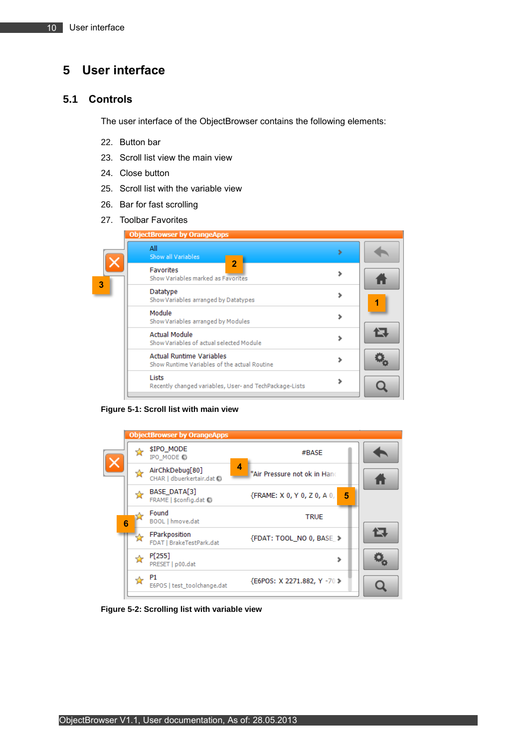# <span id="page-9-0"></span>**5 User interface**

### <span id="page-9-1"></span>**5.1 Controls**

The user interface of the ObjectBrowser contains the following elements:

- 22. Button bar
- 23. Scroll list view the main view
- 24. Close button
- 25. Scroll list with the variable view
- 26. Bar for fast scrolling
- 27. Toolbar Favorites



**Figure 5-1: Scroll list with main view**

<span id="page-9-2"></span>

<span id="page-9-3"></span>**Figure 5-2: Scrolling list with variable view**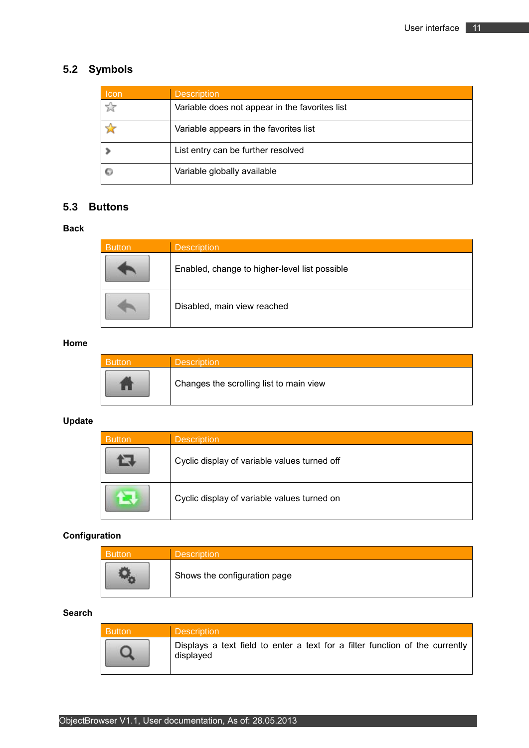# <span id="page-10-0"></span>**5.2 Symbols**

| <b>Icon</b> | <b>Description</b>                             |
|-------------|------------------------------------------------|
| ☆           | Variable does not appear in the favorites list |
|             | Variable appears in the favorites list         |
|             | List entry can be further resolved             |
|             | Variable globally available                    |

### <span id="page-10-1"></span>**5.3 Buttons**

### **Back**

| <b>Button</b> | <b>Description</b>                            |
|---------------|-----------------------------------------------|
|               | Enabled, change to higher-level list possible |
|               | Disabled, main view reached                   |

### **Home**

| <b>Description</b>                      |
|-----------------------------------------|
| Changes the scrolling list to main view |

### **Update**

| Button | <b>Description</b>                           |
|--------|----------------------------------------------|
|        | Cyclic display of variable values turned off |
|        | Cyclic display of variable values turned on  |

### **Configuration**

| Button | <b>Description</b>           |
|--------|------------------------------|
|        | Shows the configuration page |

### **Search**

| <b>Button</b> | <b>Description</b>                                                                        |
|---------------|-------------------------------------------------------------------------------------------|
|               | Displays a text field to enter a text for a filter function of the currently<br>displayed |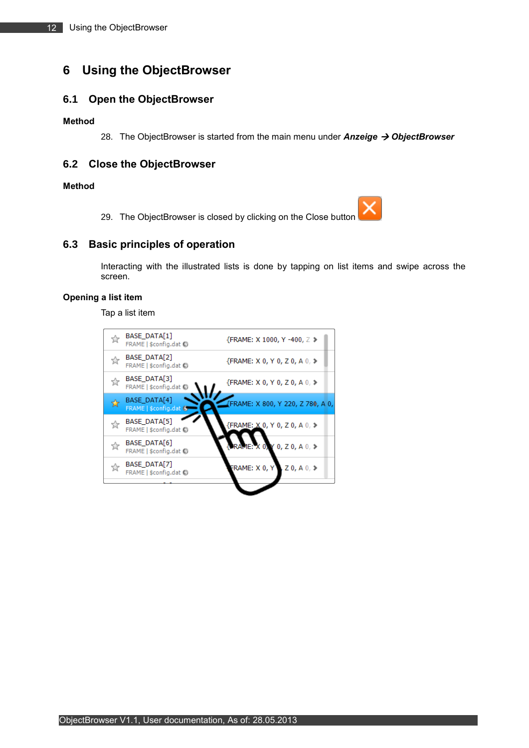# <span id="page-11-0"></span>**6 Using the ObjectBrowser**

### <span id="page-11-1"></span>**6.1 Open the ObjectBrowser**

#### **Method**

28. The ObjectBrowser is started from the main menu under *Anzeige ObjectBrowser* 

### <span id="page-11-2"></span>**6.2 Close the ObjectBrowser**

#### **Method**

29. The ObjectBrowser is closed by clicking on the Close button

### <span id="page-11-3"></span>**6.3 Basic principles of operation**

Interacting with the illustrated lists is done by tapping on list items and swipe across the screen.

### **Opening a list item**

Tap a list item

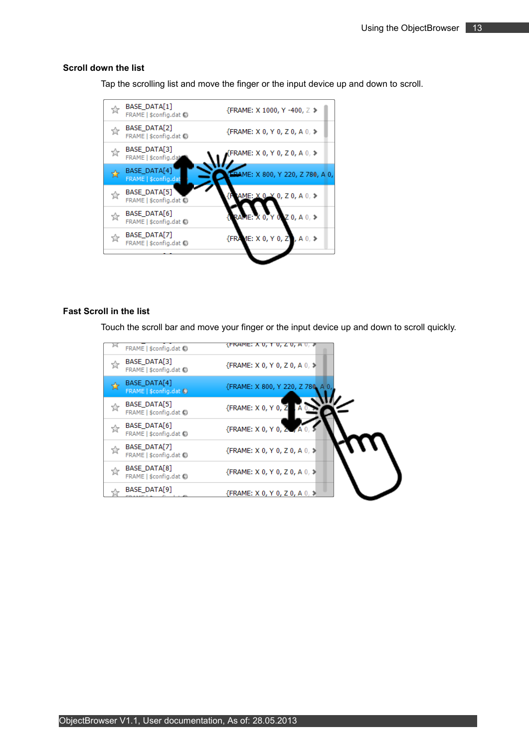#### **Scroll down the list**

Tap the scrolling list and move the finger or the input device up and down to scroll.



#### **Fast Scroll in the list**

Touch the scroll bar and move your finger or the input device up and down to scroll quickly.

| FRAME   \$config.dat (C)                               | {FRAME; A U, Y U, Z U, A U, 1     |
|--------------------------------------------------------|-----------------------------------|
| BASE DATA[3]<br>닸<br>FRAME   \$config.dat (            | {FRAME: X 0, Y 0, Z 0, A 0, >     |
| BASE_DATA[4]<br>☆<br>FRAME $ $ \$config.dat $\bigcirc$ | {FRAME: X 800, Y 220, Z 780, A 0, |
| BASE_DATA[5]<br>☆<br>FRAME   \$config.dat (            | {FRAME: X 0, Y 0, Z               |
| BASE DATA[6]<br>☆<br>FRAME   \$config.dat (            | {FRAME: X 0, Y 0, 2<br>₩A         |
| BASE DATA[7]<br>☆<br>FRAME   \$config.dat (C)          | {FRAME: X 0, Y 0, Z 0, A 0, ≯     |
| BASE DATA[8]<br>☆<br>FRAME   \$config.dat (C)          | {FRAME: X 0, Y 0, Z 0, A 0, >     |
| <b>BASE DATA[9]</b>                                    | {FRAME: X 0, Y 0, Z 0, A 0, ≯     |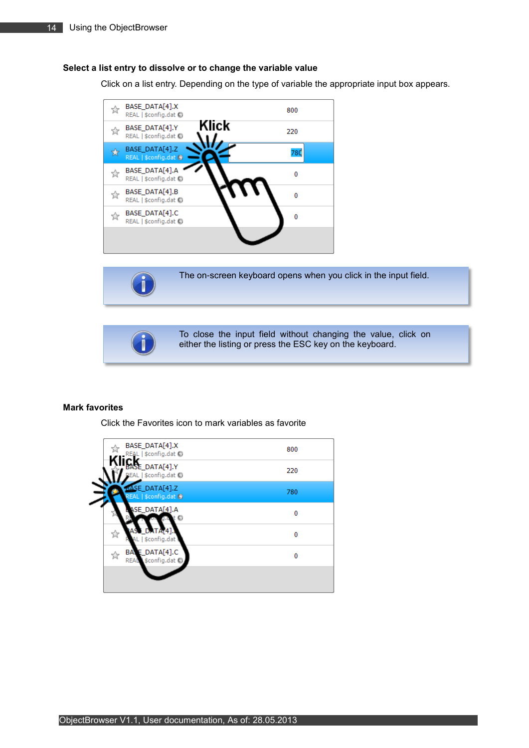#### **Select a list entry to dissolve or to change the variable value**

Click on a list entry. Depending on the type of variable the appropriate input box appears.







To close the input field without changing the value, click on either the listing or press the ESC key on the keyboard.

#### **Mark favorites**

Click the Favorites icon to mark variables as favorite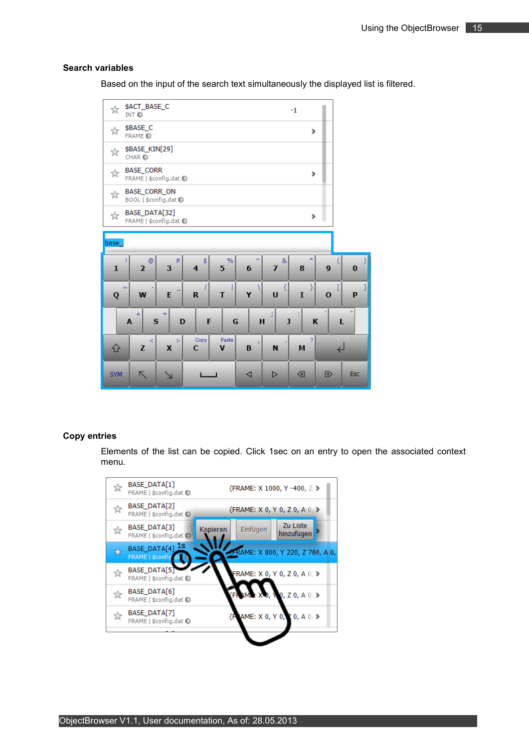#### **Search variables**

Based on the input of the search text simultaneously the displayed list is filtered.



#### **Copy entries**

Elements of the list can be copied. Click 1sec on an entry to open the associated context menu.

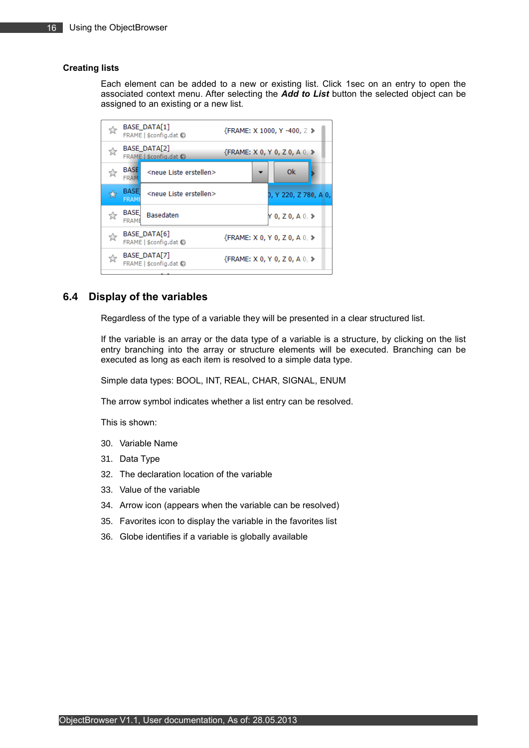#### **Creating lists**

Each element can be added to a new or existing list. Click 1sec on an entry to open the associated context menu. After selecting the *Add to List* button the selected object can be assigned to an existing or a new list.

| ☆             | <b>BASE DATA[1]</b><br>FRAME   \$config.dat (5)                     | {FRAME: X 1000, Y -400, Z >                       |
|---------------|---------------------------------------------------------------------|---------------------------------------------------|
| ☆             | <b>BASE DATA[2]</b><br>FRAME   \$config.dat O                       | ${FRAME: X 0, Y 0, Z 0, A 0, \blacktriangleright$ |
| $\frac{1}{2}$ | <b>BASE</b><br><neue erstellen="" liste=""><br/><b>FRAM</b></neue>  | 0k                                                |
| ☆             | <b>BASE</b><br><neue erstellen="" liste=""><br/><b>FRAM!</b></neue> | 0, Y 220, Z 780, A 0,                             |
| ☆             | <b>BASE</b><br><b>Basedaten</b><br><b>FRAME</b>                     | Y 0, Z 0, A 0, ≯                                  |
| ☆             | BASE DATA[6]<br>FRAME   \$config.dat (C)                            | {FRAME: X 0, Y 0, Z 0, A 0. ≯                     |
| ☆             | <b>BASE DATA[7]</b><br>FRAME   \$config.dat (C)                     | ${FRAME: X 0, Y 0, Z 0, A 0, \blacktriangleright$ |
|               |                                                                     |                                                   |

### <span id="page-15-0"></span>**6.4 Display of the variables**

Regardless of the type of a variable they will be presented in a clear structured list.

If the variable is an array or the data type of a variable is a structure, by clicking on the list entry branching into the array or structure elements will be executed. Branching can be executed as long as each item is resolved to a simple data type.

Simple data types: BOOL, INT, REAL, CHAR, SIGNAL, ENUM

The arrow symbol indicates whether a list entry can be resolved.

This is shown:

- 30. Variable Name
- 31. Data Type
- 32. The declaration location of the variable
- 33. Value of the variable
- 34. Arrow icon (appears when the variable can be resolved)
- 35. Favorites icon to display the variable in the favorites list
- 36. Globe identifies if a variable is globally available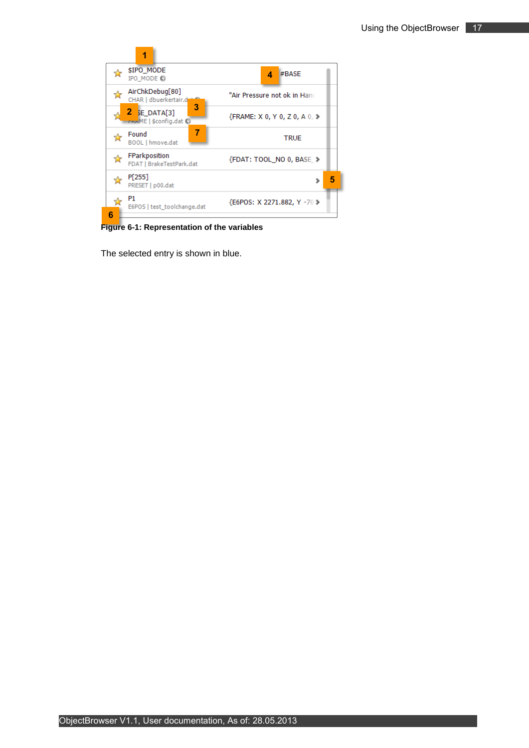| \$IPO MODE<br>IPO MODE O                       | #BASE<br>4                                        |
|------------------------------------------------|---------------------------------------------------|
| AirChkDebug[80]<br>Т.<br>CHAR   dbuerkertair.d | "Air Pressure not ok in Hand                      |
| з<br>$2$ SE_DATA[3]<br>FRAME   \$config.dat O  | ${FRAME: X 0, Y 0, Z 0, A 0, \blacktriangleright$ |
| 7<br>Found<br>BOOL   hmove.dat                 | <b>TRUE</b>                                       |
| FParkposition<br>FDAT   BrakeTestPark.dat      | {FDAT: TOOL NO 0, BASE >                          |
| P[255]<br>PRESET   p00.dat                     | 5                                                 |
| P1<br>E6POS   test_toolchange.dat              | {E6POS: X 2271.882, Y -70 >                       |
| Բ                                              |                                                   |

<span id="page-16-0"></span>**Figure 6-1: Representation of the variables**

The selected entry is shown in blue.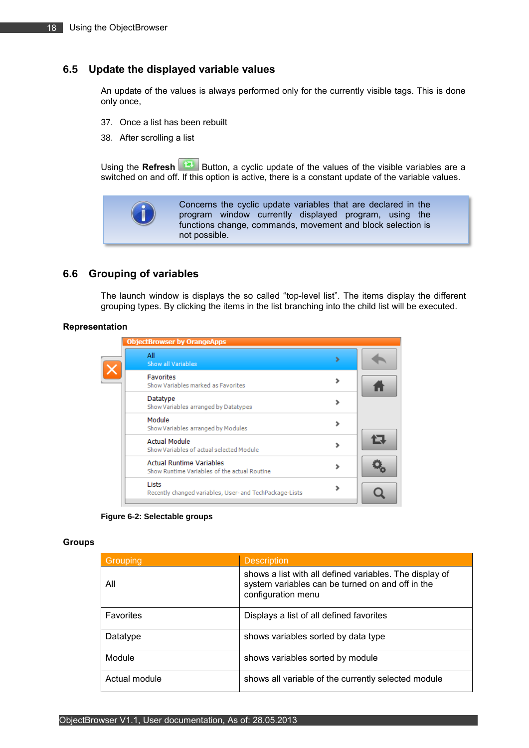### <span id="page-17-0"></span>**6.5 Update the displayed variable values**

An update of the values is always performed only for the currently visible tags. This is done only once,

- 37. Once a list has been rebuilt
- 38. After scrolling a list

Using the **Refresh** Button, a cyclic update of the values of the visible variables are a switched on and off. If this option is active, there is a constant update of the variable values.



### <span id="page-17-1"></span>**6.6 Grouping of variables**

The launch window is displays the so called "top-level list". The items display the different grouping types. By clicking the items in the list branching into the child list will be executed.

#### **Representation**

| <b>ObjectBrowser by OrangeApps</b>                                              |   |    |
|---------------------------------------------------------------------------------|---|----|
| All<br>Show all Variables                                                       | ъ |    |
| <b>Favorites</b><br>Show Variables marked as Favorites                          |   |    |
| Datatype<br>Show Variables arranged by Datatypes                                |   |    |
| Module<br>Show Variables arranged by Modules                                    |   |    |
| <b>Actual Module</b><br>Show Variables of actual selected Module                |   | Г. |
| <b>Actual Runtime Variables</b><br>Show Runtime Variables of the actual Routine |   |    |
| Lists<br>Recently changed variables, User- and TechPackage-Lists                |   |    |

**Figure 6-2: Selectable groups**

#### <span id="page-17-2"></span>**Groups**

| Grouping      | <b>Description</b>                                                                                                                |
|---------------|-----------------------------------------------------------------------------------------------------------------------------------|
| All           | shows a list with all defined variables. The display of<br>system variables can be turned on and off in the<br>configuration menu |
| Favorites     | Displays a list of all defined favorites                                                                                          |
| Datatype      | shows variables sorted by data type                                                                                               |
| Module        | shows variables sorted by module                                                                                                  |
| Actual module | shows all variable of the currently selected module                                                                               |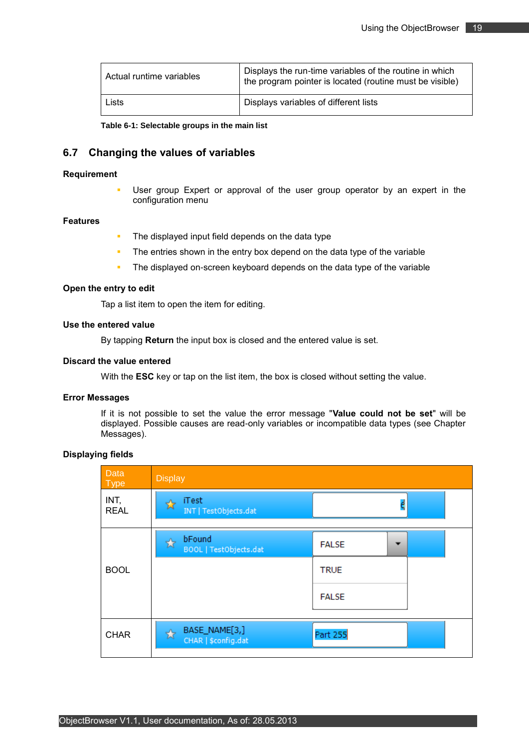| Actual runtime variables | Displays the run-time variables of the routine in which<br>the program pointer is located (routine must be visible) |
|--------------------------|---------------------------------------------------------------------------------------------------------------------|
| Lists                    | Displays variables of different lists                                                                               |

**Table 6-1: Selectable groups in the main list**

### <span id="page-18-1"></span><span id="page-18-0"></span>**6.7 Changing the values of variables**

#### **Requirement**

 User group Expert or approval of the user group operator by an expert in the configuration menu

#### **Features**

- The displayed input field depends on the data type
- The entries shown in the entry box depend on the data type of the variable
- The displayed on-screen keyboard depends on the data type of the variable

#### **Open the entry to edit**

Tap a list item to open the item for editing.

#### **Use the entered value**

By tapping **Return** the input box is closed and the entered value is set.

#### **Discard the value entered**

With the **ESC** key or tap on the list item, the box is closed without setting the value.

#### **Error Messages**

If it is not possible to set the value the error message "**Value could not be set**" will be displayed. Possible causes are read-only variables or incompatible data types (see Chapter [Messages\)](#page-22-0).

### **Displaying fields**

| Data<br><b>Type</b> | <b>Display</b>                            |              |                          |
|---------------------|-------------------------------------------|--------------|--------------------------|
| INT,<br><b>REAL</b> | <b>iTest</b><br>INT   TestObjects.dat     |              | d                        |
|                     | bFound<br>☆<br>BOOL   TestObjects.dat     | <b>FALSE</b> | $\overline{\phantom{0}}$ |
| <b>BOOL</b>         |                                           | <b>TRUE</b>  |                          |
|                     |                                           | <b>FALSE</b> |                          |
| <b>CHAR</b>         | BASE_NAME[3,]<br>☆<br>CHAR   \$config.dat | Part 255     |                          |
|                     |                                           |              |                          |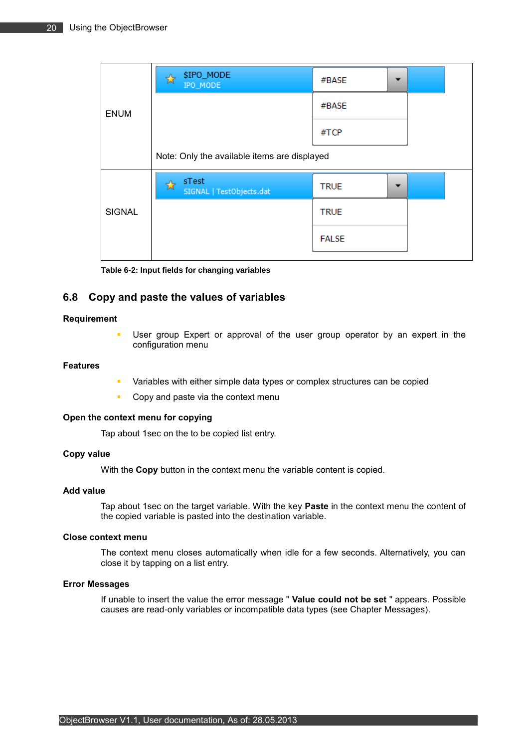|               | \$IPO_MODE<br>☆<br>IPO_MODE                  | #BASE        | ▼ |  |  |
|---------------|----------------------------------------------|--------------|---|--|--|
| <b>ENUM</b>   |                                              | #BASE        |   |  |  |
|               |                                              | #TCP         |   |  |  |
|               | Note: Only the available items are displayed |              |   |  |  |
|               | sTest<br>SIGNAL   TestObjects.dat            | <b>TRUE</b>  |   |  |  |
| <b>SIGNAL</b> |                                              | <b>TRUE</b>  |   |  |  |
|               |                                              | <b>FALSE</b> |   |  |  |
|               |                                              |              |   |  |  |

### <span id="page-19-1"></span><span id="page-19-0"></span>**6.8 Copy and paste the values of variables**

#### **Requirement**

 User group Expert or approval of the user group operator by an expert in the configuration menu

#### **Features**

- Variables with either simple data types or complex structures can be copied
- **Copy and paste via the context menu**

#### **Open the context menu for copying**

Tap about 1sec on the to be copied list entry.

#### **Copy value**

With the **Copy** button in the context menu the variable content is copied.

### **Add value**

Tap about 1sec on the target variable. With the key **Paste** in the context menu the content of the copied variable is pasted into the destination variable.

#### **Close context menu**

The context menu closes automatically when idle for a few seconds. Alternatively, you can close it by tapping on a list entry.

#### **Error Messages**

If unable to insert the value the error message " **Value could not be set** " appears. Possible causes are read-only variables or incompatible data types (see Chapter [Messages\)](#page-22-0).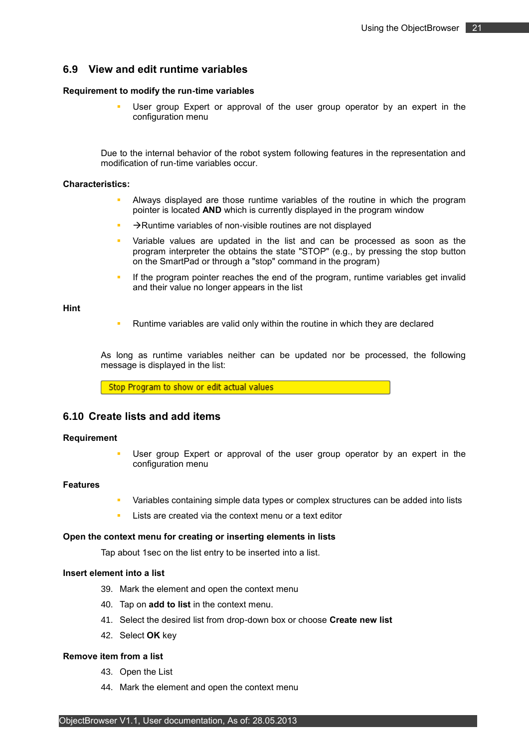### <span id="page-20-0"></span>**6.9 View and edit runtime variables**

#### **Requirement to modify the run-time variables**

 User group Expert or approval of the user group operator by an expert in the configuration menu

Due to the internal behavior of the robot system following features in the representation and modification of run-time variables occur.

#### **Characteristics:**

- Always displayed are those runtime variables of the routine in which the program pointer is located **AND** which is currently displayed in the program window
- $\rightarrow$ Runtime variables of non-visible routines are not displayed
- Variable values are updated in the list and can be processed as soon as the program interpreter the obtains the state "STOP" (e.g., by pressing the stop button on the SmartPad or through a "stop" command in the program)
- If the program pointer reaches the end of the program, runtime variables get invalid and their value no longer appears in the list

**Hint**

Runtime variables are valid only within the routine in which they are declared

As long as runtime variables neither can be updated nor be processed, the following message is displayed in the list:

Stop Program to show or edit actual values

#### <span id="page-20-1"></span>**6.10 Create lists and add items**

#### **Requirement**

 User group Expert or approval of the user group operator by an expert in the configuration menu

#### **Features**

- Variables containing simple data types or complex structures can be added into lists
- Lists are created via the context menu or a text editor

#### **Open the context menu for creating or inserting elements in lists**

Tap about 1sec on the list entry to be inserted into a list.

#### **Insert element into a list**

- 39. Mark the element and open the context menu
- 40. Tap on **add to list** in the context menu.
- 41. Select the desired list from drop-down box or choose **Create new list**
- 42. Select **OK** key

#### **Remove item from a list**

- 43. Open the List
- 44. Mark the element and open the context menu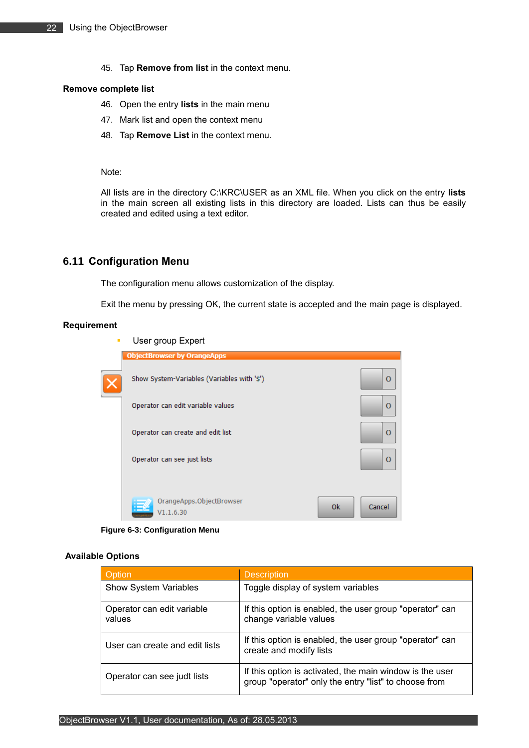45. Tap **Remove from list** in the context menu.

#### **Remove complete list**

- 46. Open the entry **lists** in the main menu
- 47. Mark list and open the context menu
- 48. Tap **Remove List** in the context menu.

#### Note:

All lists are in the directory C:\KRC\USER as an XML file. When you click on the entry **lists** in the main screen all existing lists in this directory are loaded. Lists can thus be easily created and edited using a text editor.

### <span id="page-21-0"></span>**6.11 Configuration Menu**

The configuration menu allows customization of the display.

Exit the menu by pressing OK, the current state is accepted and the main page is displayed.

#### **Requirement**

| ٠ | User group Expert                           |           |              |
|---|---------------------------------------------|-----------|--------------|
|   | <b>ObjectBrowser by OrangeApps</b>          |           |              |
|   | Show System-Variables (Variables with '\$') |           | $\mathbf{O}$ |
|   | Operator can edit variable values           |           | $\Omega$     |
|   | Operator can create and edit list           |           | $\Omega$     |
|   | Operator can see just lists                 |           | $\Omega$     |
|   | OrangeApps.ObjectBrowser<br>V1.1.6.30       | <b>Ok</b> | Cancel       |

**Figure 6-3: Configuration Menu**

#### <span id="page-21-1"></span>**Available Options**

| Option                               | <b>Description</b>                                                                                                |
|--------------------------------------|-------------------------------------------------------------------------------------------------------------------|
| <b>Show System Variables</b>         | Toggle display of system variables                                                                                |
| Operator can edit variable<br>values | If this option is enabled, the user group "operator" can<br>change variable values                                |
| User can create and edit lists       | If this option is enabled, the user group "operator" can<br>create and modify lists                               |
| Operator can see judt lists          | If this option is activated, the main window is the user<br>group "operator" only the entry "list" to choose from |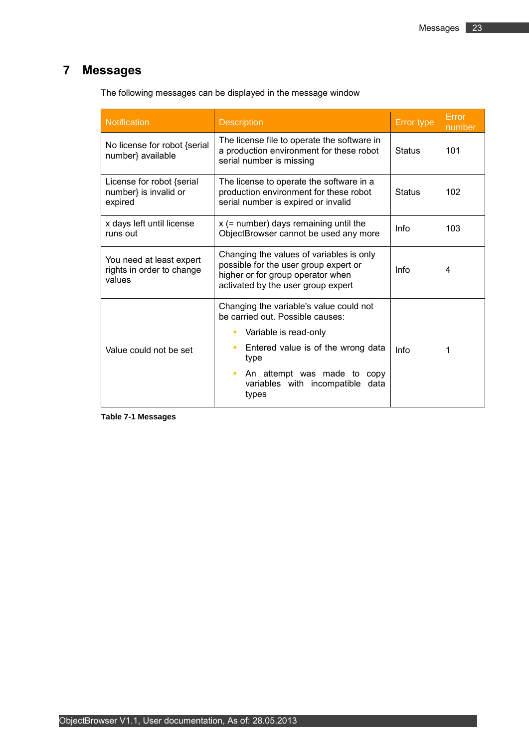# <span id="page-22-0"></span>**7 Messages**

| Notification                                                    | <b>Description</b>                                                                                                                                           | Error type    | Error<br>number |
|-----------------------------------------------------------------|--------------------------------------------------------------------------------------------------------------------------------------------------------------|---------------|-----------------|
| No license for robot {serial<br>number} available               | The license file to operate the software in<br>a production environment for these robot<br>serial number is missing                                          | <b>Status</b> | 101             |
| License for robot {serial<br>number} is invalid or<br>expired   | The license to operate the software in a<br>production environment for these robot<br>serial number is expired or invalid                                    | <b>Status</b> | 102             |
| x days left until license<br>runs out                           | $x$ (= number) days remaining until the<br>ObjectBrowser cannot be used any more                                                                             | Info          | 103             |
| You need at least expert<br>rights in order to change<br>values | Changing the values of variables is only<br>possible for the user group expert or<br>higher or for group operator when<br>activated by the user group expert | Info          | 4               |
|                                                                 | Changing the variable's value could not<br>be carried out. Possible causes:                                                                                  |               |                 |
|                                                                 | Variable is read-only                                                                                                                                        |               |                 |
| Value could not be set                                          | Entered value is of the wrong data<br>type                                                                                                                   | Info          | 1               |
|                                                                 | An attempt was made to copy<br>ш<br>variables with incompatible data<br>types                                                                                |               |                 |

The following messages can be displayed in the message window

<span id="page-22-1"></span>**Table 7-1 Messages**